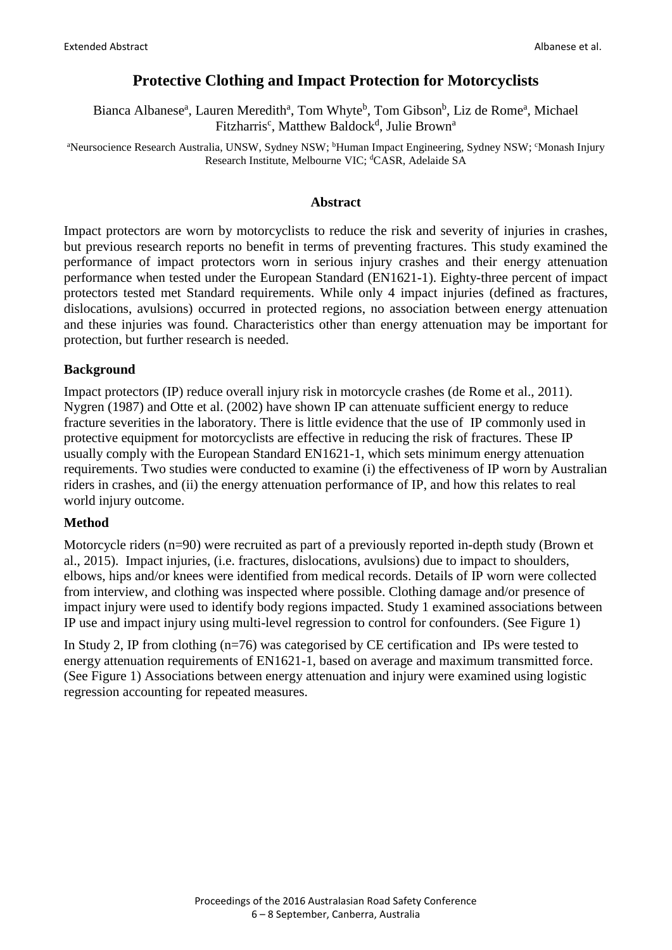# **Protective Clothing and Impact Protection for Motorcyclists**

Bianca Albanese<sup>a</sup>, Lauren Meredith<sup>a</sup>, Tom Whyte<sup>b</sup>, Tom Gibson<sup>b</sup>, Liz de Rome<sup>a</sup>, Michael Fitzharris<sup>c</sup>, Matthew Baldock<sup>d</sup>, Julie Brown<sup>a</sup>

<sup>a</sup>Neursocience Research Australia, UNSW, Sydney NSW; <sup>b</sup>Human Impact Engineering, Sydney NSW; °Monash Injury Research Institute, Melbourne VIC; <sup>d</sup>CASR, Adelaide SA

#### **Abstract**

Impact protectors are worn by motorcyclists to reduce the risk and severity of injuries in crashes, but previous research reports no benefit in terms of preventing fractures. This study examined the performance of impact protectors worn in serious injury crashes and their energy attenuation performance when tested under the European Standard (EN1621-1). Eighty-three percent of impact protectors tested met Standard requirements. While only 4 impact injuries (defined as fractures, dislocations, avulsions) occurred in protected regions, no association between energy attenuation and these injuries was found. Characteristics other than energy attenuation may be important for protection, but further research is needed.

## **Background**

Impact protectors (IP) reduce overall injury risk in motorcycle crashes (de Rome et al., 2011). Nygren (1987) and Otte et al. (2002) have shown IP can attenuate sufficient energy to reduce fracture severities in the laboratory. There is little evidence that the use of IP commonly used in protective equipment for motorcyclists are effective in reducing the risk of fractures. These IP usually comply with the European Standard EN1621-1, which sets minimum energy attenuation requirements. Two studies were conducted to examine (i) the effectiveness of IP worn by Australian riders in crashes, and (ii) the energy attenuation performance of IP, and how this relates to real world injury outcome.

## **Method**

Motorcycle riders (n=90) were recruited as part of a previously reported in-depth study (Brown et al., 2015). Impact injuries, (i.e. fractures, dislocations, avulsions) due to impact to shoulders, elbows, hips and/or knees were identified from medical records. Details of IP worn were collected from interview, and clothing was inspected where possible. Clothing damage and/or presence of impact injury were used to identify body regions impacted. Study 1 examined associations between IP use and impact injury using multi-level regression to control for confounders. (See Figure 1)

In Study 2, IP from clothing (n=76) was categorised by CE certification and IPs were tested to energy attenuation requirements of EN1621-1, based on average and maximum transmitted force. (See Figure 1) Associations between energy attenuation and injury were examined using logistic regression accounting for repeated measures.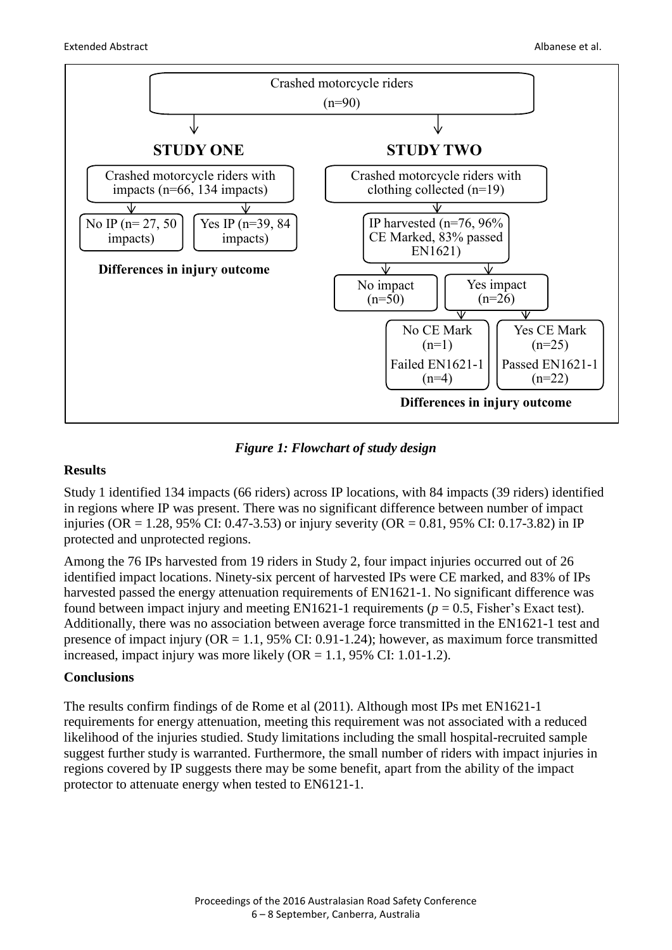

*Figure 1: Flowchart of study design*

## **Results**

Study 1 identified 134 impacts (66 riders) across IP locations, with 84 impacts (39 riders) identified in regions where IP was present. There was no significant difference between number of impact injuries (OR = 1.28, 95% CI: 0.47-3.53) or injury severity (OR = 0.81, 95% CI: 0.17-3.82) in IP protected and unprotected regions.

Among the 76 IPs harvested from 19 riders in Study 2, four impact injuries occurred out of 26 identified impact locations. Ninety-six percent of harvested IPs were CE marked, and 83% of IPs harvested passed the energy attenuation requirements of EN1621-1. No significant difference was found between impact injury and meeting EN1621-1 requirements ( $p = 0.5$ , Fisher's Exact test). Additionally, there was no association between average force transmitted in the EN1621-1 test and presence of impact injury ( $OR = 1.1$ , 95% CI: 0.91-1.24); however, as maximum force transmitted increased, impact injury was more likely  $(OR = 1.1, 95\% \text{ CI: } 1.01-1.2)$ .

## **Conclusions**

The results confirm findings of de Rome et al (2011). Although most IPs met EN1621-1 requirements for energy attenuation, meeting this requirement was not associated with a reduced likelihood of the injuries studied. Study limitations including the small hospital-recruited sample suggest further study is warranted. Furthermore, the small number of riders with impact injuries in regions covered by IP suggests there may be some benefit, apart from the ability of the impact protector to attenuate energy when tested to EN6121-1.